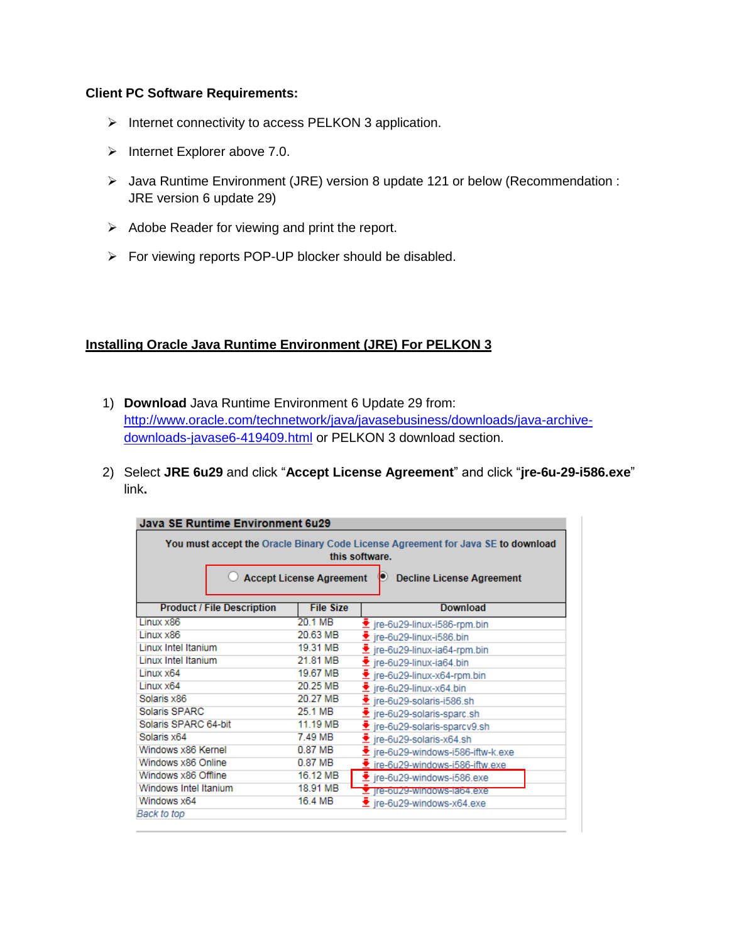### **Client PC Software Requirements:**

- $\triangleright$  Internet connectivity to access PELKON 3 application.
- $\triangleright$  Internet Explorer above 7.0.
- Java Runtime Environment (JRE) version 8 update 121 or below (Recommendation : JRE version 6 update 29)
- $\triangleright$  Adobe Reader for viewing and print the report.
- For viewing reports POP-UP blocker should be disabled.

### **Installing Oracle Java Runtime Environment (JRE) For PELKON 3**

- 1) **Download** Java Runtime Environment 6 Update 29 from: [http://www.oracle.com/technetwork/java/javasebusiness/downloads/java-archive](http://www.oracle.com/technetwork/java/javasebusiness/downloads/java-archive-downloads-javase6-419409.html)[downloads-javase6-419409.html](http://www.oracle.com/technetwork/java/javasebusiness/downloads/java-archive-downloads-javase6-419409.html) or PELKON 3 download section.
- 2) Select **JRE 6u29** and click "**Accept License Agreement**" and click "**jre-6u-29-i586.exe**" link**.**

| Java SE Runtime Environment 6u29                                                                                                                                          |          |                                                 |  |  |  |  |
|---------------------------------------------------------------------------------------------------------------------------------------------------------------------------|----------|-------------------------------------------------|--|--|--|--|
| You must accept the Oracle Binary Code License Agreement for Java SE to download<br>this software.<br><b>Accept License Agreement</b><br><b>Decline License Agreement</b> |          |                                                 |  |  |  |  |
|                                                                                                                                                                           |          |                                                 |  |  |  |  |
| Linux x86                                                                                                                                                                 | 20.1 MB  | Lire-6u29-linux-i586-rpm.bin                    |  |  |  |  |
| Linux x86                                                                                                                                                                 | 20.63 MB | $\blacktriangleright$ ire-6u29-linux-i586.bin   |  |  |  |  |
| Linux Intel Itanium                                                                                                                                                       | 19.31 MB | $\bullet$ ire-6u29-linux-ia64-rpm.bin           |  |  |  |  |
| <b>Linux Intel Itanium</b>                                                                                                                                                | 21.81 MB | $\bullet$ ire-6u29-linux-ia64.bin               |  |  |  |  |
| Linux x64                                                                                                                                                                 | 19.67 MB | $\bullet$ ire-6u29-linux-x64-rpm.bin            |  |  |  |  |
| Linux x64                                                                                                                                                                 | 20.25 MB | $\blacktriangleright$ jre-6u29-linux-x64.bin    |  |  |  |  |
| Solaris x86                                                                                                                                                               | 20.27 MB | $\blacktriangleright$ ire-6u29-solaris-i586.sh  |  |  |  |  |
| Solaris SPARC                                                                                                                                                             | 25.1 MB  | $\blacktriangleright$ ire-6u29-solaris-sparc.sh |  |  |  |  |
| Solaris SPARC 64-bit                                                                                                                                                      | 11.19 MB | Le-6u29-solaris-sparcv9.sh                      |  |  |  |  |
| Solaris x64                                                                                                                                                               | 7.49 MB  | $\blacktriangleright$ ire-6u29-solaris-x64.sh   |  |  |  |  |
| Windows x86 Kernel                                                                                                                                                        | 0.87 MB  | Lire-6u29-windows-i586-iftw-k.exe               |  |  |  |  |
| Windows x86 Online                                                                                                                                                        | 0.87 MB  | tre-6u29-windows-i586-iftw.exe                  |  |  |  |  |
| Windows x86 Offline                                                                                                                                                       | 16.12 MB | Lire-6u29-windows-i586.exe                      |  |  |  |  |
| Windows Intel Itanium                                                                                                                                                     | 18.91 MB | Tre-buz9-windows-lab4.exe                       |  |  |  |  |
| Windows x64                                                                                                                                                               | 16.4 MB  | $\bullet$ ire-6u29-windows-x64.exe              |  |  |  |  |
| Back to top                                                                                                                                                               |          |                                                 |  |  |  |  |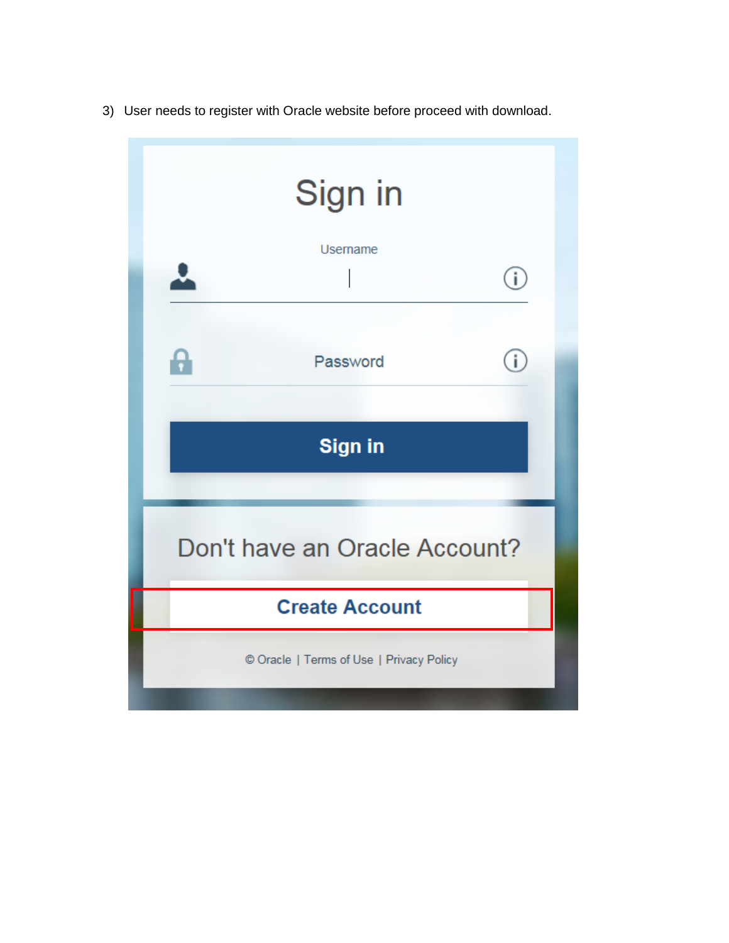3) User needs to register with Oracle website before proceed with download.

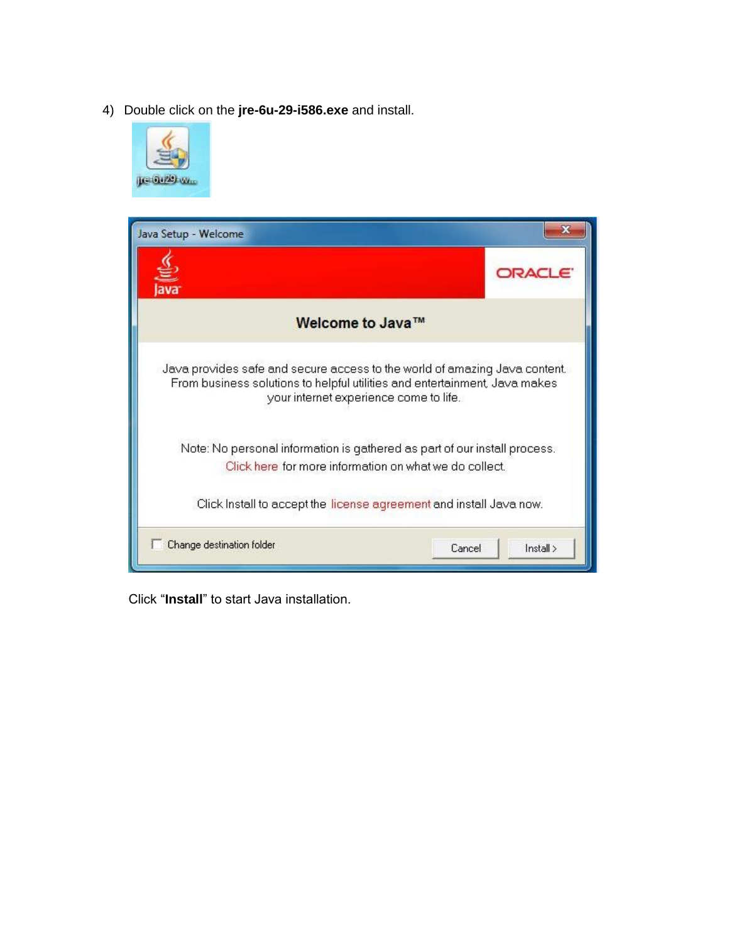4) Double click on the **jre-6u-29-i586.exe** and install.



| Java Setup - Welcome                                                                                                                                                                               |               |  |  |  |  |
|----------------------------------------------------------------------------------------------------------------------------------------------------------------------------------------------------|---------------|--|--|--|--|
|                                                                                                                                                                                                    | ORACL 6       |  |  |  |  |
| Welcome to Java™                                                                                                                                                                                   |               |  |  |  |  |
| Java provides safe and secure access to the world of amazing Java content.<br>From business solutions to helpful utilities and entertainment, Java makes<br>your internet experience come to life. |               |  |  |  |  |
| Note: No personal information is gathered as part of our install process.<br>Click here for more information on what we do collect.                                                                |               |  |  |  |  |
| Click Install to accept the license agreement and install Java now.                                                                                                                                |               |  |  |  |  |
| Change destination folder<br>Cancel                                                                                                                                                                | $\ln$ stall > |  |  |  |  |

Click "**Install**" to start Java installation.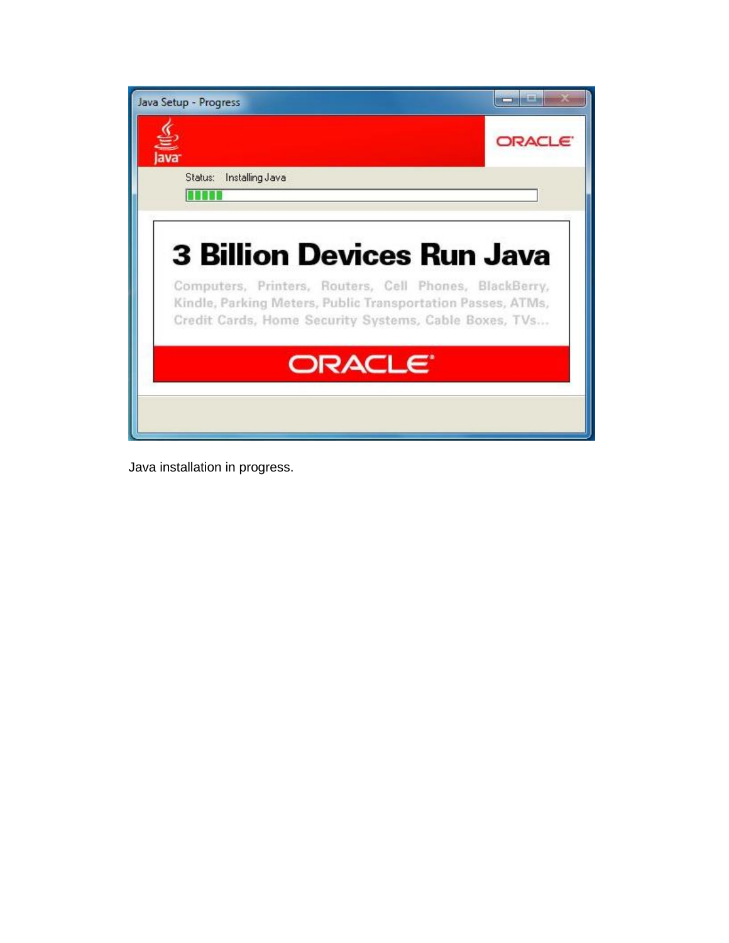| Java Setup - Progress                                                                                                                                                          |        |
|--------------------------------------------------------------------------------------------------------------------------------------------------------------------------------|--------|
|                                                                                                                                                                                | ORACLE |
| Status: Installing Java                                                                                                                                                        |        |
| nnen                                                                                                                                                                           |        |
|                                                                                                                                                                                |        |
| <b>3 Billion Devices Run Java</b>                                                                                                                                              |        |
| Computers, Printers, Routers, Cell Phones, BlackBerry,<br>Kindle, Parking Meters, Public Transportation Passes, ATMs,<br>Credit Cards, Home Security Systems, Cable Boxes, TVs |        |
| ORACLE <sup>®</sup>                                                                                                                                                            |        |
|                                                                                                                                                                                |        |
|                                                                                                                                                                                |        |

Java installation in progress.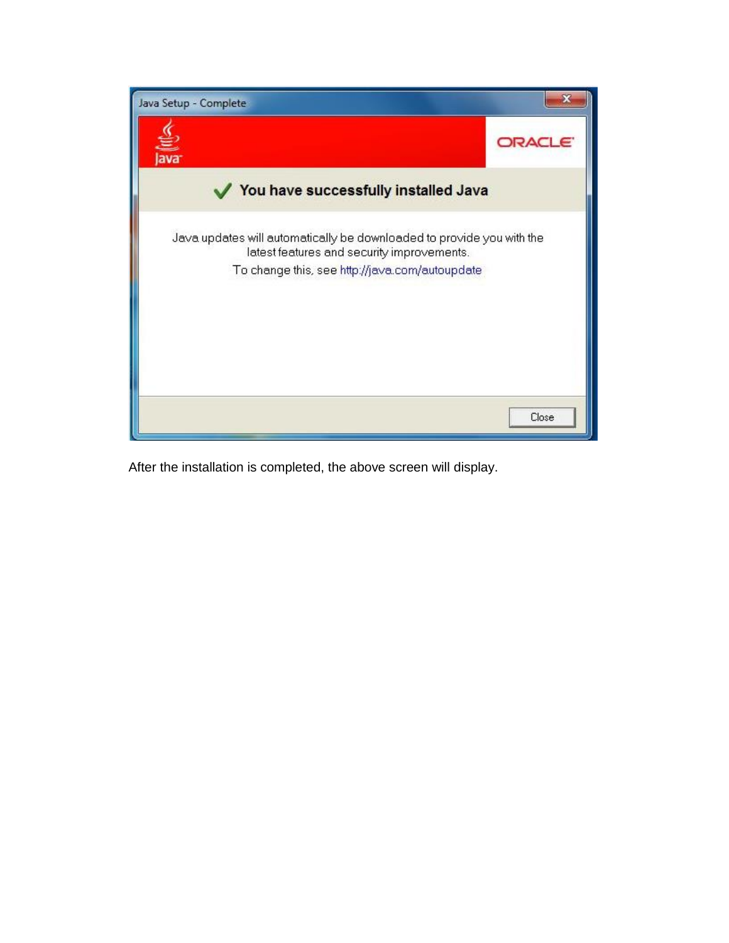

After the installation is completed, the above screen will display.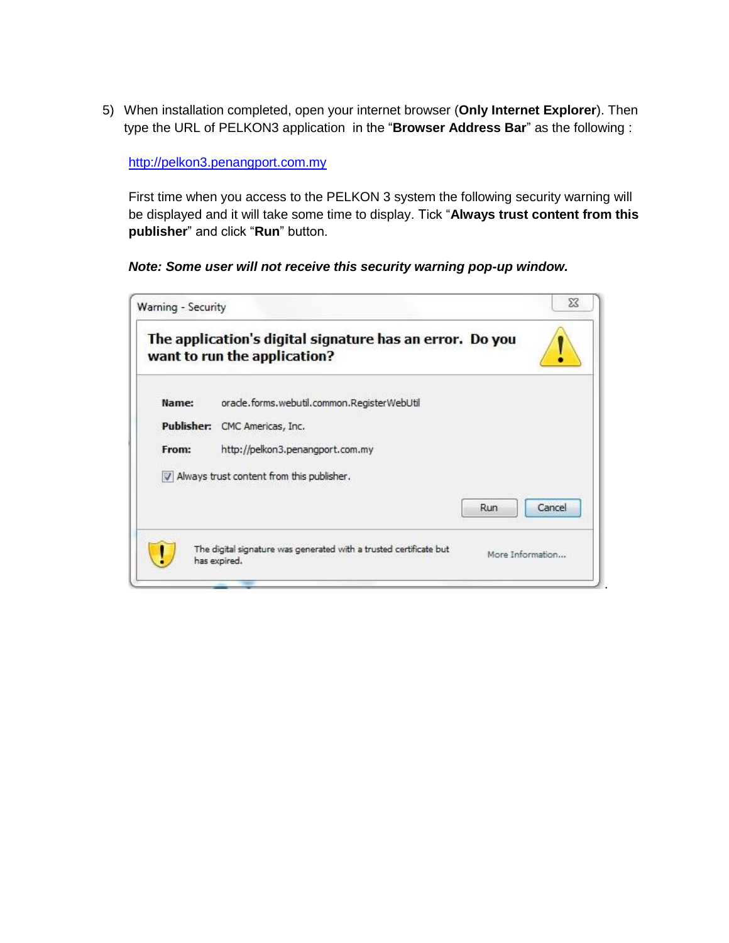5) When installation completed, open your internet browser (**Only Internet Explorer**). Then type the URL of PELKON3 application in the "**Browser Address Bar**" as the following :

#### [http://pelkon3.penangport.com.my](http://pelkon3.penangport.com.my/)

First time when you access to the PELKON 3 system the following security warning will be displayed and it will take some time to display. Tick "**Always trust content from this publisher**" and click "**Run**" button.

### *Note: Some user will not receive this security warning pop-up window.*

|       | The application's digital signature has an error. Do you<br>want to run the application? |     |                  |
|-------|------------------------------------------------------------------------------------------|-----|------------------|
| Name: | oracle.forms.webutil.common.RegisterWebUtil                                              |     |                  |
|       | Publisher: CMC Americas, Inc.                                                            |     |                  |
| From: | http://pelkon3.penangport.com.my                                                         |     |                  |
|       | V Always trust content from this publisher.                                              |     |                  |
|       |                                                                                          | Run | Cancel           |
|       | The digital signature was generated with a trusted certificate but<br>has expired.       |     | More Information |

.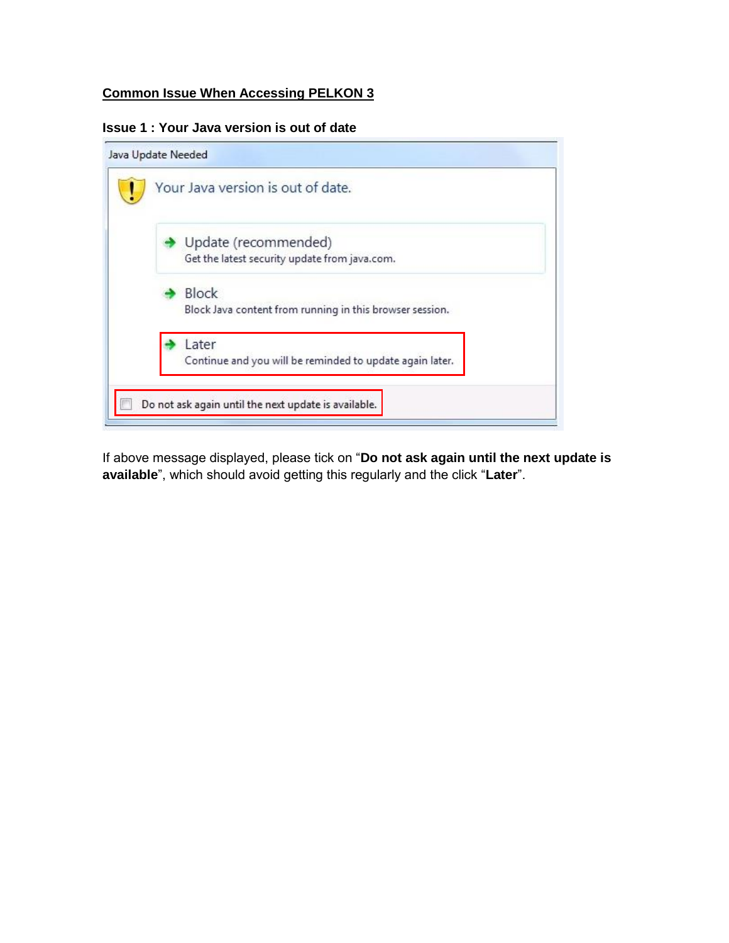# **Common Issue When Accessing PELKON 3**

#### **Issue 1 : Your Java version is out of date**



If above message displayed, please tick on "**Do not ask again until the next update is available**", which should avoid getting this regularly and the click "**Later**".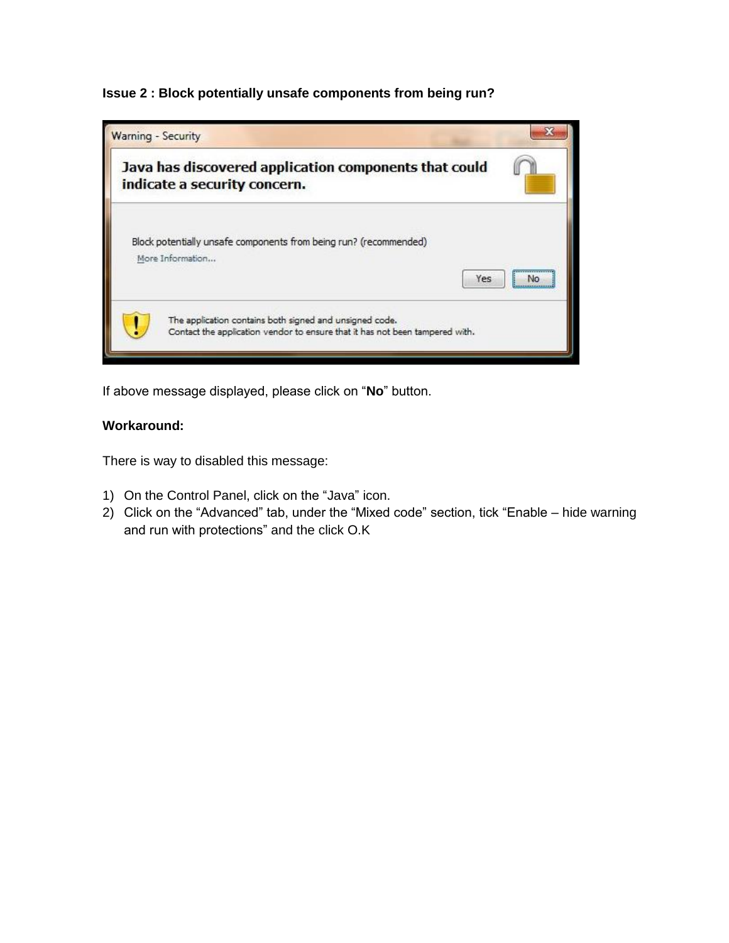**Issue 2 : Block potentially unsafe components from being run?**



If above message displayed, please click on "**No**" button.

# **Workaround:**

There is way to disabled this message:

- 1) On the Control Panel, click on the "Java" icon.
- 2) Click on the "Advanced" tab, under the "Mixed code" section, tick "Enable hide warning and run with protections" and the click O.K